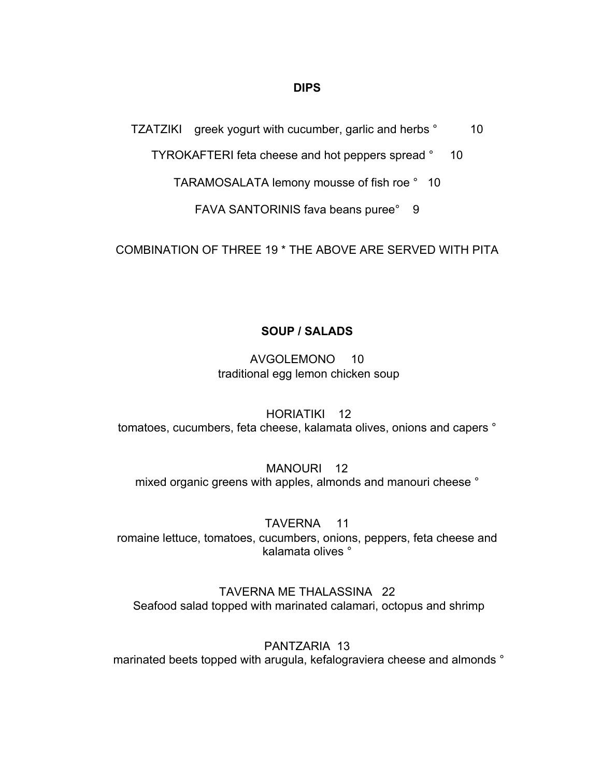### **DIPS**

TZATZIKI greek yogurt with cucumber, garlic and herbs ° 10

TYROKAFTERI feta cheese and hot peppers spread ° 10

TARAMOSALATA lemony mousse of fish roe ° 10

FAVA SANTORINIS fava beans puree° 9

COMBINATION OF THREE 19 \* THE ABOVE ARE SERVED WITH PITA

# **SOUP / SALADS**

AVGOLEMONO 10 traditional egg lemon chicken soup

HORIATIKI 12 tomatoes, cucumbers, feta cheese, kalamata olives, onions and capers °

MANOURI 12 mixed organic greens with apples, almonds and manouri cheese °

TAVERNA 11 romaine lettuce, tomatoes, cucumbers, onions, peppers, feta cheese and kalamata olives °

TAVERNA ME THALASSINA 22 Seafood salad topped with marinated calamari, octopus and shrimp

PANTZARIA 13 marinated beets topped with arugula, kefalograviera cheese and almonds °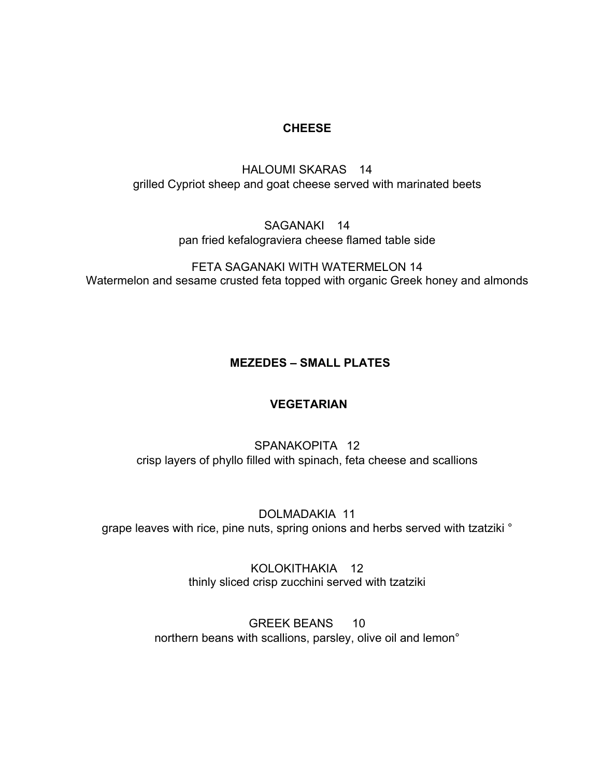## **CHEESE**

# HALOUMI SKARAS 14 grilled Cypriot sheep and goat cheese served with marinated beets

## SAGANAKI 14 pan fried kefalograviera cheese flamed table side

FETA SAGANAKI WITH WATERMELON 14 Watermelon and sesame crusted feta topped with organic Greek honey and almonds

# **MEZEDES – SMALL PLATES**

## **VEGETARIAN**

# SPANAKOPITA 12 crisp layers of phyllo filled with spinach, feta cheese and scallions

DOLMADAKIA 11 grape leaves with rice, pine nuts, spring onions and herbs served with tzatziki °

> KOLOKITHAKIA 12 thinly sliced crisp zucchini served with tzatziki

GREEK BEANS 10 northern beans with scallions, parsley, olive oil and lemon°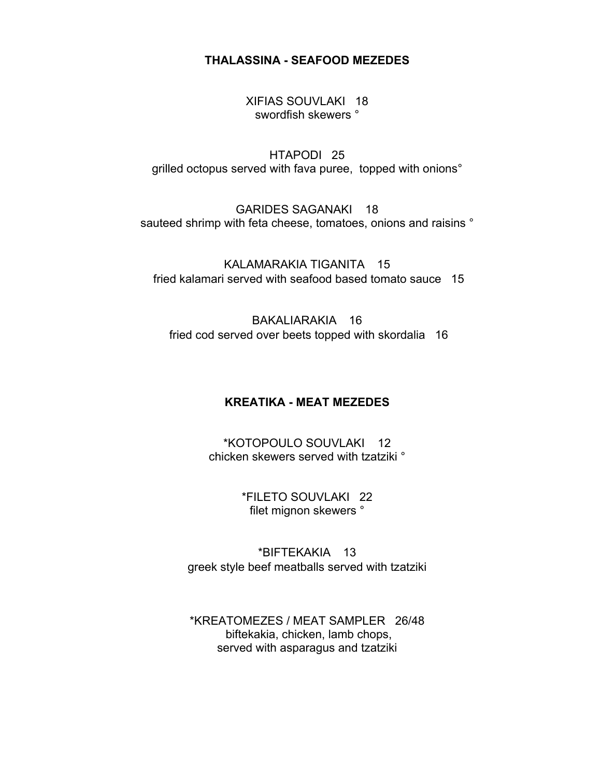**THALASSINA - SEAFOOD MEZEDES**

XIFIAS SOUVLAKI 18 swordfish skewers °

HTAPODI 25 grilled octopus served with fava puree, topped with onions°

GARIDES SAGANAKI 18 sauteed shrimp with feta cheese, tomatoes, onions and raisins  $\degree$ 

KALAMARAKIA TIGANITA 15 fried kalamari served with seafood based tomato sauce 15

BAKALIARAKIA 16 fried cod served over beets topped with skordalia 16

## **KREATIKA - MEAT MEZEDES**

\*KOTOPOULO SOUVLAKI 12 chicken skewers served with tzatziki °

> \*FILETO SOUVLAKI 22 filet mignon skewers °

\*BIFTEKAKIA 13 greek style beef meatballs served with tzatziki

\*KREATOMEZES / MEAT SAMPLER 26/48 biftekakia, chicken, lamb chops, served with asparagus and tzatziki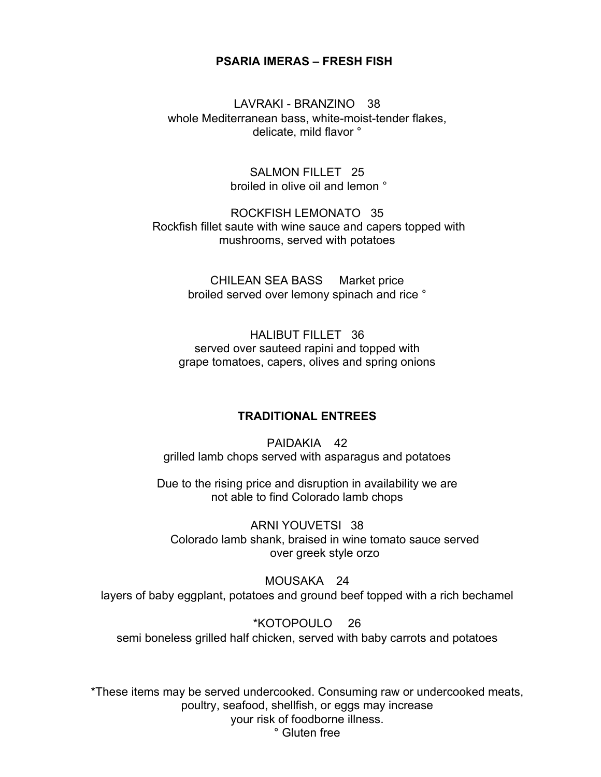#### **PSARIA IMERAS – FRESH FISH**

LAVRAKI - BRANZINO 38 whole Mediterranean bass, white-moist-tender flakes, delicate, mild flavor °

> SALMON FILLET 25 broiled in olive oil and lemon °

ROCKFISH LEMONATO 35 Rockfish fillet saute with wine sauce and capers topped with mushrooms, served with potatoes

> CHILEAN SEA BASS Market price broiled served over lemony spinach and rice °

HALIBUT FILLET 36 served over sauteed rapini and topped with grape tomatoes, capers, olives and spring onions

### **TRADITIONAL ENTREES**

PAIDAKIA 42 grilled lamb chops served with asparagus and potatoes

Due to the rising price and disruption in availability we are not able to find Colorado lamb chops

ARNI YOUVETSI 38 Colorado lamb shank, braised in wine tomato sauce served over greek style orzo

MOUSAKA 24 layers of baby eggplant, potatoes and ground beef topped with a rich bechamel

\*KOTOPOULO 26 semi boneless grilled half chicken, served with baby carrots and potatoes

\*These items may be served undercooked. Consuming raw or undercooked meats, poultry, seafood, shellfish, or eggs may increase your risk of foodborne illness. ° Gluten free